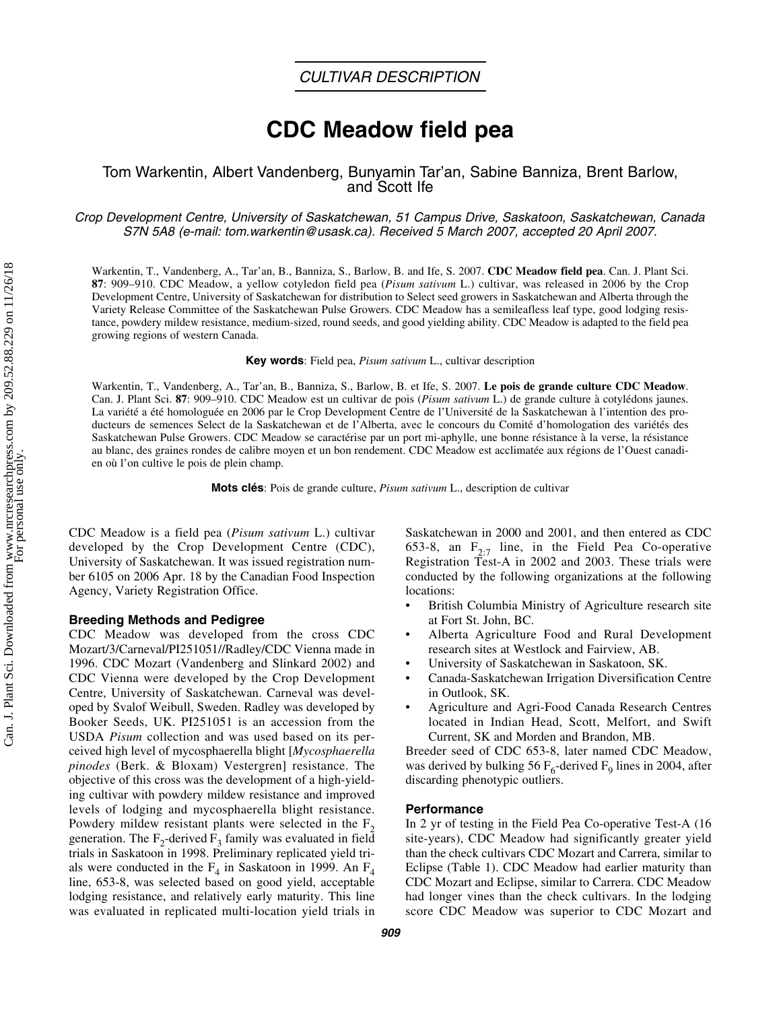# **CDC Meadow field pea**

### Tom Warkentin, Albert Vandenberg, Bunyamin Tar'an, Sabine Banniza, Brent Barlow, and Scott Ife

#### *Crop Development Centre, University of Saskatchewan, 51 Campus Drive, Saskatoon, Saskatchewan, Canada S7N 5A8 (e-mail: tom.warkentin@usask.ca). Received 5 March 2007, accepted 20 April 2007.*

Warkentin, T., Vandenberg, A., Tar'an, B., Banniza, S., Barlow, B. and Ife, S. 2007. **CDC Meadow field pea**. Can. J. Plant Sci. **87**: 909–910. CDC Meadow, a yellow cotyledon field pea (*Pisum sativum* L.) cultivar, was released in 2006 by the Crop Development Centre, University of Saskatchewan for distribution to Select seed growers in Saskatchewan and Alberta through the Variety Release Committee of the Saskatchewan Pulse Growers. CDC Meadow has a semileafless leaf type, good lodging resistance, powdery mildew resistance, medium-sized, round seeds, and good yielding ability. CDC Meadow is adapted to the field pea growing regions of western Canada.

**Key words**: Field pea, *Pisum sativum* L., cultivar description

Warkentin, T., Vandenberg, A., Tar'an, B., Banniza, S., Barlow, B. et Ife, S. 2007. **Le pois de grande culture CDC Meadow**. Can. J. Plant Sci. **87**: 909–910. CDC Meadow est un cultivar de pois (*Pisum sativum* L.) de grande culture à cotylédons jaunes. La variété a été homologuée en 2006 par le Crop Development Centre de l'Université de la Saskatchewan à l'intention des producteurs de semences Select de la Saskatchewan et de l'Alberta, avec le concours du Comité d'homologation des variétés des Saskatchewan Pulse Growers. CDC Meadow se caractérise par un port mi-aphylle, une bonne résistance à la verse, la résistance au blanc, des graines rondes de calibre moyen et un bon rendement. CDC Meadow est acclimatée aux régions de l'Ouest canadien où l'on cultive le pois de plein champ.

**Mots clés**: Pois de grande culture, *Pisum sativum* L., description de cultivar

CDC Meadow is a field pea (*Pisum sativum* L.) cultivar developed by the Crop Development Centre (CDC), University of Saskatchewan. It was issued registration number 6105 on 2006 Apr. 18 by the Canadian Food Inspection Agency, Variety Registration Office.

#### **Breeding Methods and Pedigree**

CDC Meadow was developed from the cross CDC Mozart/3/Carneval/PI251051//Radley/CDC Vienna made in 1996. CDC Mozart (Vandenberg and Slinkard 2002) and CDC Vienna were developed by the Crop Development Centre, University of Saskatchewan. Carneval was developed by Svalof Weibull, Sweden. Radley was developed by Booker Seeds, UK. PI251051 is an accession from the USDA *Pisum* collection and was used based on its perceived high level of mycosphaerella blight [*Mycosphaerella pinodes* (Berk. & Bloxam) Vestergren] resistance. The objective of this cross was the development of a high-yielding cultivar with powdery mildew resistance and improved levels of lodging and mycosphaerella blight resistance. Powdery mildew resistant plants were selected in the  $F<sub>2</sub>$ generation. The  $F_2$ -derived  $F_3$  family was evaluated in field trials in Saskatoon in 1998. Preliminary replicated yield trials were conducted in the  $F_4$  in Saskatoon in 1999. An  $F_4$ line, 653-8, was selected based on good yield, acceptable lodging resistance, and relatively early maturity. This line was evaluated in replicated multi-location yield trials in

Saskatchewan in 2000 and 2001, and then entered as CDC 653-8, an  $F_{2:7}$  line, in the Field Pea Co-operative Registration Test-A in 2002 and 2003. These trials were conducted by the following organizations at the following locations:

- British Columbia Ministry of Agriculture research site at Fort St. John, BC.
- Alberta Agriculture Food and Rural Development research sites at Westlock and Fairview, AB.
- University of Saskatchewan in Saskatoon, SK.
- Canada-Saskatchewan Irrigation Diversification Centre in Outlook, SK.
- Agriculture and Agri-Food Canada Research Centres located in Indian Head, Scott, Melfort, and Swift Current, SK and Morden and Brandon, MB.

Breeder seed of CDC 653-8, later named CDC Meadow, was derived by bulking 56  $F_6$ -derived  $F_9$  lines in 2004, after discarding phenotypic outliers.

#### **Performance**

In 2 yr of testing in the Field Pea Co-operative Test-A (16 site-years), CDC Meadow had significantly greater yield than the check cultivars CDC Mozart and Carrera, similar to Eclipse (Table 1). CDC Meadow had earlier maturity than CDC Mozart and Eclipse, similar to Carrera. CDC Meadow had longer vines than the check cultivars. In the lodging score CDC Meadow was superior to CDC Mozart and